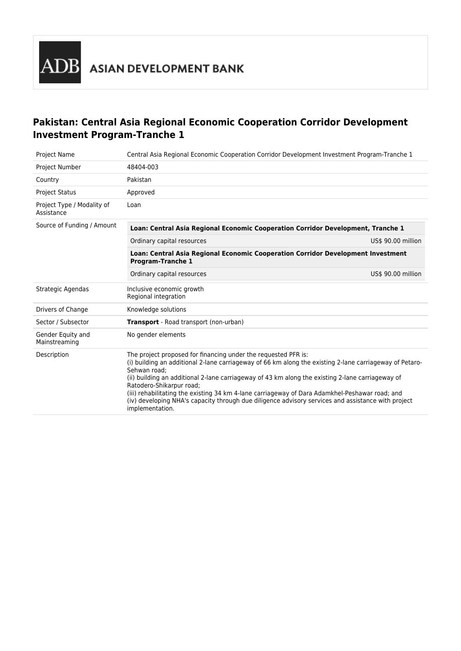## **Pakistan: Central Asia Regional Economic Cooperation Corridor Development Investment Program-Tranche 1**

| <b>Project Name</b>                      | Central Asia Regional Economic Cooperation Corridor Development Investment Program-Tranche 1                                                                                                                                                                                                                                                                                                                                                                                                                                                         |                    |  |
|------------------------------------------|------------------------------------------------------------------------------------------------------------------------------------------------------------------------------------------------------------------------------------------------------------------------------------------------------------------------------------------------------------------------------------------------------------------------------------------------------------------------------------------------------------------------------------------------------|--------------------|--|
| Project Number                           | 48404-003                                                                                                                                                                                                                                                                                                                                                                                                                                                                                                                                            |                    |  |
| Country                                  | Pakistan                                                                                                                                                                                                                                                                                                                                                                                                                                                                                                                                             |                    |  |
| <b>Project Status</b>                    | Approved                                                                                                                                                                                                                                                                                                                                                                                                                                                                                                                                             |                    |  |
| Project Type / Modality of<br>Assistance | Loan                                                                                                                                                                                                                                                                                                                                                                                                                                                                                                                                                 |                    |  |
| Source of Funding / Amount               | Loan: Central Asia Regional Economic Cooperation Corridor Development, Tranche 1                                                                                                                                                                                                                                                                                                                                                                                                                                                                     |                    |  |
|                                          | Ordinary capital resources                                                                                                                                                                                                                                                                                                                                                                                                                                                                                                                           | US\$ 90.00 million |  |
|                                          | Loan: Central Asia Regional Economic Cooperation Corridor Development Investment<br><b>Program-Tranche 1</b>                                                                                                                                                                                                                                                                                                                                                                                                                                         |                    |  |
|                                          | Ordinary capital resources                                                                                                                                                                                                                                                                                                                                                                                                                                                                                                                           | US\$ 90.00 million |  |
| Strategic Agendas                        | Inclusive economic growth<br>Regional integration                                                                                                                                                                                                                                                                                                                                                                                                                                                                                                    |                    |  |
| Drivers of Change                        | Knowledge solutions                                                                                                                                                                                                                                                                                                                                                                                                                                                                                                                                  |                    |  |
| Sector / Subsector                       | Transport - Road transport (non-urban)                                                                                                                                                                                                                                                                                                                                                                                                                                                                                                               |                    |  |
| Gender Equity and<br>Mainstreaming       | No gender elements                                                                                                                                                                                                                                                                                                                                                                                                                                                                                                                                   |                    |  |
| Description                              | The project proposed for financing under the requested PFR is:<br>(i) building an additional 2-lane carriageway of 66 km along the existing 2-lane carriageway of Petaro-<br>Sehwan road:<br>(ii) building an additional 2-lane carriageway of 43 km along the existing 2-lane carriageway of<br>Ratodero-Shikarpur road;<br>(iii) rehabilitating the existing 34 km 4-lane carriageway of Dara Adamkhel-Peshawar road; and<br>(iv) developing NHA's capacity through due diligence advisory services and assistance with project<br>implementation. |                    |  |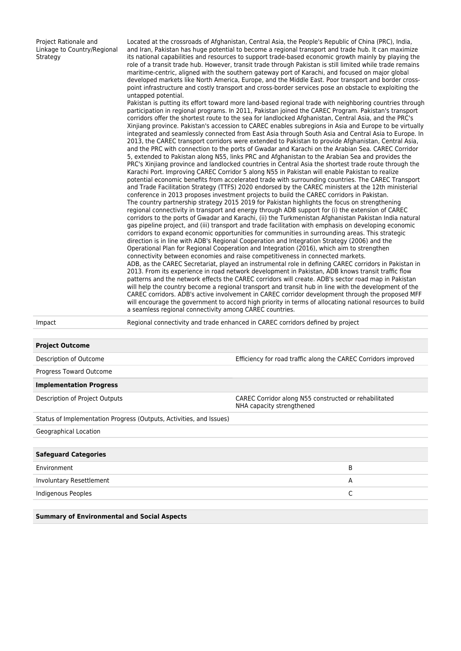| Project Rationale and<br>Linkage to Country/Regional<br>Strategy | Located at the crossroads of Afghanistan, Central Asia, the People's Republic of China (PRC), India,<br>and Iran, Pakistan has huge potential to become a regional transport and trade hub. It can maximize<br>its national capabilities and resources to support trade-based economic growth mainly by playing the<br>role of a transit trade hub. However, transit trade through Pakistan is still limited while trade remains<br>maritime-centric, aligned with the southern gateway port of Karachi, and focused on major global<br>developed markets like North America, Europe, and the Middle East. Poor transport and border cross-<br>point infrastructure and costly transport and cross-border services pose an obstacle to exploiting the<br>untapped potential.<br>Pakistan is putting its effort toward more land-based regional trade with neighboring countries through<br>participation in regional programs. In 2011, Pakistan joined the CAREC Program. Pakistan's transport<br>corridors offer the shortest route to the sea for landlocked Afghanistan, Central Asia, and the PRC's<br>Xinjiang province. Pakistan's accession to CAREC enables subregions in Asia and Europe to be virtually<br>integrated and seamlessly connected from East Asia through South Asia and Central Asia to Europe. In<br>2013, the CAREC transport corridors were extended to Pakistan to provide Afghanistan, Central Asia,<br>and the PRC with connection to the ports of Gwadar and Karachi on the Arabian Sea. CAREC Corridor<br>5, extended to Pakistan along N55, links PRC and Afghanistan to the Arabian Sea and provides the<br>PRC's Xinjiang province and landlocked countries in Central Asia the shortest trade route through the<br>Karachi Port. Improving CAREC Corridor 5 along N55 in Pakistan will enable Pakistan to realize<br>potential economic benefits from accelerated trade with surrounding countries. The CAREC Transport<br>and Trade Facilitation Strategy (TTFS) 2020 endorsed by the CAREC ministers at the 12th ministerial<br>conference in 2013 proposes investment projects to build the CAREC corridors in Pakistan.<br>The country partnership strategy 2015 2019 for Pakistan highlights the focus on strengthening<br>regional connectivity in transport and energy through ADB support for (i) the extension of CAREC<br>corridors to the ports of Gwadar and Karachi, (ii) the Turkmenistan Afghanistan Pakistan India natural<br>gas pipeline project, and (iii) transport and trade facilitation with emphasis on developing economic<br>corridors to expand economic opportunities for communities in surrounding areas. This strategic<br>direction is in line with ADB's Regional Cooperation and Integration Strategy (2006) and the<br>Operational Plan for Regional Cooperation and Integration (2016), which aim to strengthen<br>connectivity between economies and raise competitiveness in connected markets.<br>ADB, as the CAREC Secretariat, played an instrumental role in defining CAREC corridors in Pakistan in<br>2013. From its experience in road network development in Pakistan, ADB knows transit traffic flow<br>patterns and the network effects the CAREC corridors will create. ADB's sector road map in Pakistan<br>will help the country become a regional transport and transit hub in line with the development of the<br>CAREC corridors. ADB's active involvement in CAREC corridor development through the proposed MFF<br>will encourage the government to accord high priority in terms of allocating national resources to build<br>a seamless regional connectivity among CAREC countries. |
|------------------------------------------------------------------|------------------------------------------------------------------------------------------------------------------------------------------------------------------------------------------------------------------------------------------------------------------------------------------------------------------------------------------------------------------------------------------------------------------------------------------------------------------------------------------------------------------------------------------------------------------------------------------------------------------------------------------------------------------------------------------------------------------------------------------------------------------------------------------------------------------------------------------------------------------------------------------------------------------------------------------------------------------------------------------------------------------------------------------------------------------------------------------------------------------------------------------------------------------------------------------------------------------------------------------------------------------------------------------------------------------------------------------------------------------------------------------------------------------------------------------------------------------------------------------------------------------------------------------------------------------------------------------------------------------------------------------------------------------------------------------------------------------------------------------------------------------------------------------------------------------------------------------------------------------------------------------------------------------------------------------------------------------------------------------------------------------------------------------------------------------------------------------------------------------------------------------------------------------------------------------------------------------------------------------------------------------------------------------------------------------------------------------------------------------------------------------------------------------------------------------------------------------------------------------------------------------------------------------------------------------------------------------------------------------------------------------------------------------------------------------------------------------------------------------------------------------------------------------------------------------------------------------------------------------------------------------------------------------------------------------------------------------------------------------------------------------------------------------------------------------------------------------------------------------------------------------------------------------------------------------------------------------------------------------------------------------------------------------------------------------------------------------------------------------------------------------------------------------------------------------------------------------------------------------------------------------------------------------------------------------------------------------------------------------------------------------------------------------------------------|
| Impact                                                           | Regional connectivity and trade enhanced in CAREC corridors defined by project                                                                                                                                                                                                                                                                                                                                                                                                                                                                                                                                                                                                                                                                                                                                                                                                                                                                                                                                                                                                                                                                                                                                                                                                                                                                                                                                                                                                                                                                                                                                                                                                                                                                                                                                                                                                                                                                                                                                                                                                                                                                                                                                                                                                                                                                                                                                                                                                                                                                                                                                                                                                                                                                                                                                                                                                                                                                                                                                                                                                                                                                                                                                                                                                                                                                                                                                                                                                                                                                                                                                                                                                     |
| <b>Project Outcome</b>                                           |                                                                                                                                                                                                                                                                                                                                                                                                                                                                                                                                                                                                                                                                                                                                                                                                                                                                                                                                                                                                                                                                                                                                                                                                                                                                                                                                                                                                                                                                                                                                                                                                                                                                                                                                                                                                                                                                                                                                                                                                                                                                                                                                                                                                                                                                                                                                                                                                                                                                                                                                                                                                                                                                                                                                                                                                                                                                                                                                                                                                                                                                                                                                                                                                                                                                                                                                                                                                                                                                                                                                                                                                                                                                                    |

| Description of Outcome                                              | Efficiency for road traffic along the CAREC Corridors improved                     |  |
|---------------------------------------------------------------------|------------------------------------------------------------------------------------|--|
| Progress Toward Outcome                                             |                                                                                    |  |
| <b>Implementation Progress</b>                                      |                                                                                    |  |
| Description of Project Outputs                                      | CAREC Corridor along N55 constructed or rehabilitated<br>NHA capacity strengthened |  |
| Status of Implementation Progress (Outputs, Activities, and Issues) |                                                                                    |  |
| Geographical Location                                               |                                                                                    |  |
| <b>Safeguard Categories</b>                                         |                                                                                    |  |
| Environment                                                         | B                                                                                  |  |
| Involuntary Resettlement                                            | A                                                                                  |  |
| Indigenous Peoples                                                  | C                                                                                  |  |
|                                                                     |                                                                                    |  |

**Summary of Environmental and Social Aspects**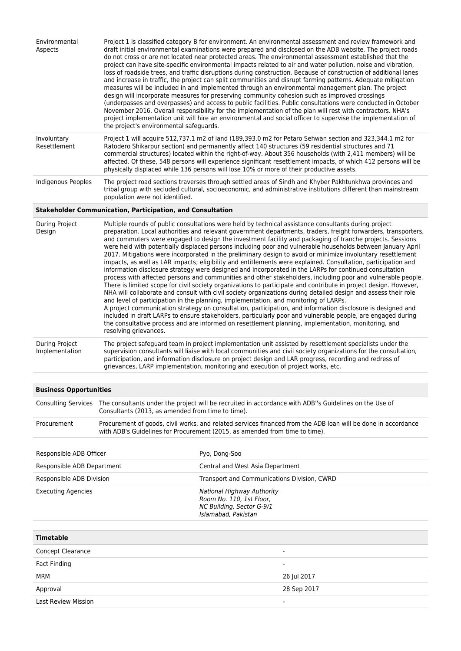| Environmental<br>Aspects                                                                                                                                                                                                                                                                                                                                                                                                                                                                                                                                                                                                                                                                                                                                                                                                                                                                                                                                                                                                                                                                                                                                                                                                                                                                                                                                                                                                                                                                                                                                                                                                           | Project 1 is classified category B for environment. An environmental assessment and review framework and<br>draft initial environmental examinations were prepared and disclosed on the ADB website. The project roads<br>do not cross or are not located near protected areas. The environmental assessment established that the<br>project can have site-specific environmental impacts related to air and water pollution, noise and vibration,<br>loss of roadside trees, and traffic disruptions during construction. Because of construction of additional lanes<br>and increase in traffic, the project can split communities and disrupt farming patterns. Adequate mitigation<br>measures will be included in and implemented through an environmental management plan. The project<br>design will incorporate measures for preserving community cohesion such as improved crossings<br>(underpasses and overpasses) and access to public facilities. Public consultations were conducted in October<br>November 2016. Overall responsibility for the implementation of the plan will rest with contractors. NHA's<br>project implementation unit will hire an environmental and social officer to supervise the implementation of<br>the project's environmental safeguards. |                                                                                                                   |                                                                                                       |
|------------------------------------------------------------------------------------------------------------------------------------------------------------------------------------------------------------------------------------------------------------------------------------------------------------------------------------------------------------------------------------------------------------------------------------------------------------------------------------------------------------------------------------------------------------------------------------------------------------------------------------------------------------------------------------------------------------------------------------------------------------------------------------------------------------------------------------------------------------------------------------------------------------------------------------------------------------------------------------------------------------------------------------------------------------------------------------------------------------------------------------------------------------------------------------------------------------------------------------------------------------------------------------------------------------------------------------------------------------------------------------------------------------------------------------------------------------------------------------------------------------------------------------------------------------------------------------------------------------------------------------|----------------------------------------------------------------------------------------------------------------------------------------------------------------------------------------------------------------------------------------------------------------------------------------------------------------------------------------------------------------------------------------------------------------------------------------------------------------------------------------------------------------------------------------------------------------------------------------------------------------------------------------------------------------------------------------------------------------------------------------------------------------------------------------------------------------------------------------------------------------------------------------------------------------------------------------------------------------------------------------------------------------------------------------------------------------------------------------------------------------------------------------------------------------------------------------------------------------------------------------------------------------------------------------|-------------------------------------------------------------------------------------------------------------------|-------------------------------------------------------------------------------------------------------|
| Involuntary<br>Resettlement                                                                                                                                                                                                                                                                                                                                                                                                                                                                                                                                                                                                                                                                                                                                                                                                                                                                                                                                                                                                                                                                                                                                                                                                                                                                                                                                                                                                                                                                                                                                                                                                        | Project 1 will acquire 512,737.1 m2 of land (189,393.0 m2 for Petaro Sehwan section and 323,344.1 m2 for<br>Ratodero Shikarpur section) and permanently affect 140 structures (59 residential structures and 71<br>commercial structures) located within the right-of-way. About 356 households (with 2,411 members) will be<br>affected. Of these, 548 persons will experience significant resettlement impacts, of which 412 persons will be<br>physically displaced while 136 persons will lose 10% or more of their productive assets.                                                                                                                                                                                                                                                                                                                                                                                                                                                                                                                                                                                                                                                                                                                                             |                                                                                                                   |                                                                                                       |
| <b>Indigenous Peoples</b>                                                                                                                                                                                                                                                                                                                                                                                                                                                                                                                                                                                                                                                                                                                                                                                                                                                                                                                                                                                                                                                                                                                                                                                                                                                                                                                                                                                                                                                                                                                                                                                                          | The project road sections traverses through settled areas of Sindh and Khyber Pakhtunkhwa provinces and<br>tribal group with secluded cultural, socioeconomic, and administrative institutions different than mainstream<br>population were not identified.                                                                                                                                                                                                                                                                                                                                                                                                                                                                                                                                                                                                                                                                                                                                                                                                                                                                                                                                                                                                                            |                                                                                                                   |                                                                                                       |
|                                                                                                                                                                                                                                                                                                                                                                                                                                                                                                                                                                                                                                                                                                                                                                                                                                                                                                                                                                                                                                                                                                                                                                                                                                                                                                                                                                                                                                                                                                                                                                                                                                    | <b>Stakeholder Communication, Participation, and Consultation</b>                                                                                                                                                                                                                                                                                                                                                                                                                                                                                                                                                                                                                                                                                                                                                                                                                                                                                                                                                                                                                                                                                                                                                                                                                      |                                                                                                                   |                                                                                                       |
| During Project<br>Multiple rounds of public consultations were held by technical assistance consultants during project<br>preparation. Local authorities and relevant government departments, traders, freight forwarders, transporters,<br>Design<br>and commuters were engaged to design the investment facility and packaging of tranche projects. Sessions<br>were held with potentially displaced persons including poor and vulnerable households between January April<br>2017. Mitigations were incorporated in the preliminary design to avoid or minimize involuntary resettlement<br>impacts, as well as LAR impacts; eligibility and entitlements were explained. Consultation, participation and<br>information disclosure strategy were designed and incorporated in the LARPs for continued consultation<br>process with affected persons and communities and other stakeholders, including poor and vulnerable people.<br>There is limited scope for civil society organizations to participate and contribute in project design. However,<br>NHA will collaborate and consult with civil society organizations during detailed design and assess their role<br>and level of participation in the planning, implementation, and monitoring of LARPs.<br>A project communication strategy on consultation, participation, and information disclosure is designed and<br>included in draft LARPs to ensure stakeholders, particularly poor and vulnerable people, are engaged during<br>the consultative process and are informed on resettlement planning, implementation, monitoring, and<br>resolving grievances. |                                                                                                                                                                                                                                                                                                                                                                                                                                                                                                                                                                                                                                                                                                                                                                                                                                                                                                                                                                                                                                                                                                                                                                                                                                                                                        |                                                                                                                   |                                                                                                       |
| <b>During Project</b><br>Implementation                                                                                                                                                                                                                                                                                                                                                                                                                                                                                                                                                                                                                                                                                                                                                                                                                                                                                                                                                                                                                                                                                                                                                                                                                                                                                                                                                                                                                                                                                                                                                                                            | The project safeguard team in project implementation unit assisted by resettlement specialists under the<br>supervision consultants will liaise with local communities and civil society organizations for the consultation,<br>participation, and information disclosure on project design and LAR progress, recording and redress of<br>grievances, LARP implementation, monitoring and execution of project works, etc.                                                                                                                                                                                                                                                                                                                                                                                                                                                                                                                                                                                                                                                                                                                                                                                                                                                             |                                                                                                                   |                                                                                                       |
| <b>Business Opportunities</b>                                                                                                                                                                                                                                                                                                                                                                                                                                                                                                                                                                                                                                                                                                                                                                                                                                                                                                                                                                                                                                                                                                                                                                                                                                                                                                                                                                                                                                                                                                                                                                                                      |                                                                                                                                                                                                                                                                                                                                                                                                                                                                                                                                                                                                                                                                                                                                                                                                                                                                                                                                                                                                                                                                                                                                                                                                                                                                                        |                                                                                                                   |                                                                                                       |
| <b>Consulting Services</b>                                                                                                                                                                                                                                                                                                                                                                                                                                                                                                                                                                                                                                                                                                                                                                                                                                                                                                                                                                                                                                                                                                                                                                                                                                                                                                                                                                                                                                                                                                                                                                                                         | Consultants (2013, as amended from time to time).                                                                                                                                                                                                                                                                                                                                                                                                                                                                                                                                                                                                                                                                                                                                                                                                                                                                                                                                                                                                                                                                                                                                                                                                                                      |                                                                                                                   | The consultants under the project will be recruited in accordance with ADB"s Guidelines on the Use of |
| Procurement                                                                                                                                                                                                                                                                                                                                                                                                                                                                                                                                                                                                                                                                                                                                                                                                                                                                                                                                                                                                                                                                                                                                                                                                                                                                                                                                                                                                                                                                                                                                                                                                                        | Procurement of goods, civil works, and related services financed from the ADB loan will be done in accordance<br>with ADB's Guidelines for Procurement (2015, as amended from time to time).                                                                                                                                                                                                                                                                                                                                                                                                                                                                                                                                                                                                                                                                                                                                                                                                                                                                                                                                                                                                                                                                                           |                                                                                                                   |                                                                                                       |
| Responsible ADB Officer                                                                                                                                                                                                                                                                                                                                                                                                                                                                                                                                                                                                                                                                                                                                                                                                                                                                                                                                                                                                                                                                                                                                                                                                                                                                                                                                                                                                                                                                                                                                                                                                            |                                                                                                                                                                                                                                                                                                                                                                                                                                                                                                                                                                                                                                                                                                                                                                                                                                                                                                                                                                                                                                                                                                                                                                                                                                                                                        | Pyo, Dong-Soo                                                                                                     |                                                                                                       |
| Responsible ADB Department                                                                                                                                                                                                                                                                                                                                                                                                                                                                                                                                                                                                                                                                                                                                                                                                                                                                                                                                                                                                                                                                                                                                                                                                                                                                                                                                                                                                                                                                                                                                                                                                         |                                                                                                                                                                                                                                                                                                                                                                                                                                                                                                                                                                                                                                                                                                                                                                                                                                                                                                                                                                                                                                                                                                                                                                                                                                                                                        | Central and West Asia Department                                                                                  |                                                                                                       |
| Responsible ADB Division                                                                                                                                                                                                                                                                                                                                                                                                                                                                                                                                                                                                                                                                                                                                                                                                                                                                                                                                                                                                                                                                                                                                                                                                                                                                                                                                                                                                                                                                                                                                                                                                           |                                                                                                                                                                                                                                                                                                                                                                                                                                                                                                                                                                                                                                                                                                                                                                                                                                                                                                                                                                                                                                                                                                                                                                                                                                                                                        | Transport and Communications Division, CWRD                                                                       |                                                                                                       |
| <b>Executing Agencies</b>                                                                                                                                                                                                                                                                                                                                                                                                                                                                                                                                                                                                                                                                                                                                                                                                                                                                                                                                                                                                                                                                                                                                                                                                                                                                                                                                                                                                                                                                                                                                                                                                          |                                                                                                                                                                                                                                                                                                                                                                                                                                                                                                                                                                                                                                                                                                                                                                                                                                                                                                                                                                                                                                                                                                                                                                                                                                                                                        | <b>National Highway Authority</b><br>Room No. 110, 1st Floor,<br>NC Building, Sector G-9/1<br>Islamabad, Pakistan |                                                                                                       |
| <b>Timetable</b>                                                                                                                                                                                                                                                                                                                                                                                                                                                                                                                                                                                                                                                                                                                                                                                                                                                                                                                                                                                                                                                                                                                                                                                                                                                                                                                                                                                                                                                                                                                                                                                                                   |                                                                                                                                                                                                                                                                                                                                                                                                                                                                                                                                                                                                                                                                                                                                                                                                                                                                                                                                                                                                                                                                                                                                                                                                                                                                                        |                                                                                                                   |                                                                                                       |
| Concept Clearance                                                                                                                                                                                                                                                                                                                                                                                                                                                                                                                                                                                                                                                                                                                                                                                                                                                                                                                                                                                                                                                                                                                                                                                                                                                                                                                                                                                                                                                                                                                                                                                                                  |                                                                                                                                                                                                                                                                                                                                                                                                                                                                                                                                                                                                                                                                                                                                                                                                                                                                                                                                                                                                                                                                                                                                                                                                                                                                                        |                                                                                                                   |                                                                                                       |
| <b>Fact Finding</b>                                                                                                                                                                                                                                                                                                                                                                                                                                                                                                                                                                                                                                                                                                                                                                                                                                                                                                                                                                                                                                                                                                                                                                                                                                                                                                                                                                                                                                                                                                                                                                                                                |                                                                                                                                                                                                                                                                                                                                                                                                                                                                                                                                                                                                                                                                                                                                                                                                                                                                                                                                                                                                                                                                                                                                                                                                                                                                                        |                                                                                                                   |                                                                                                       |
| <b>MRM</b>                                                                                                                                                                                                                                                                                                                                                                                                                                                                                                                                                                                                                                                                                                                                                                                                                                                                                                                                                                                                                                                                                                                                                                                                                                                                                                                                                                                                                                                                                                                                                                                                                         |                                                                                                                                                                                                                                                                                                                                                                                                                                                                                                                                                                                                                                                                                                                                                                                                                                                                                                                                                                                                                                                                                                                                                                                                                                                                                        |                                                                                                                   | 26 Jul 2017                                                                                           |
| Approval                                                                                                                                                                                                                                                                                                                                                                                                                                                                                                                                                                                                                                                                                                                                                                                                                                                                                                                                                                                                                                                                                                                                                                                                                                                                                                                                                                                                                                                                                                                                                                                                                           |                                                                                                                                                                                                                                                                                                                                                                                                                                                                                                                                                                                                                                                                                                                                                                                                                                                                                                                                                                                                                                                                                                                                                                                                                                                                                        |                                                                                                                   | 28 Sep 2017                                                                                           |
| <b>Last Review Mission</b>                                                                                                                                                                                                                                                                                                                                                                                                                                                                                                                                                                                                                                                                                                                                                                                                                                                                                                                                                                                                                                                                                                                                                                                                                                                                                                                                                                                                                                                                                                                                                                                                         |                                                                                                                                                                                                                                                                                                                                                                                                                                                                                                                                                                                                                                                                                                                                                                                                                                                                                                                                                                                                                                                                                                                                                                                                                                                                                        |                                                                                                                   |                                                                                                       |